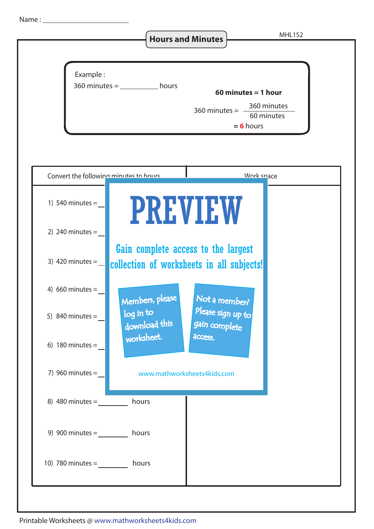Name :